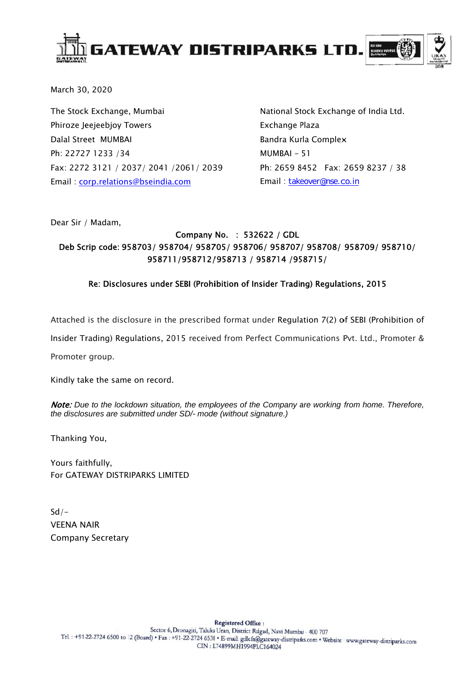

March 30, 2020

The Stock Exchange, Mumbai Phiroze Jeejeebjoy Towers Dalal Street MUMBAI Ph: 22727 1233 /34 Fax: 2272 3121 / 2037/ 2041 /2061/ 2039 Email: corp.relations@bseindia.com

National Stock Exchange of India Ltd. Exchange Plaza Bandra Kurla Complex MUMBAI-51 Ph: 2659 8452 Fax: 2659 8237 / 38 Email: takeover@nse.co.in

Dear Sir / Madam,

### Company No. : 532622 / GDL Deb Scrip code: 958703/ 958704/ 958705/ 958706/ 958707/ 958708/ 958709/ 958710/ 958711/958712/958713 / 958714 /958715/

### Re: Disclosures under SEBI (Prohibition of Insider Trading) Regulations, 2015

Attached is the disclosure in the prescribed format under Regulation 7(2) of SEBI (Prohibition of

Insider Trading) Regulations, 2015 received from Perfect Communications Pvt. Ltd., Promoter &

Promoter group.

Kindly take the same on record.

Note: Due to the lockdown situation, the employees of the Company are working from home. Therefore, the disclosures are submitted under SD/- mode (without signature.)

Thanking You,

Yours faithfully. For GATEWAY DISTRIPARKS LIMITED

 $Sd/-$ **VEENA NAIR Company Secretary**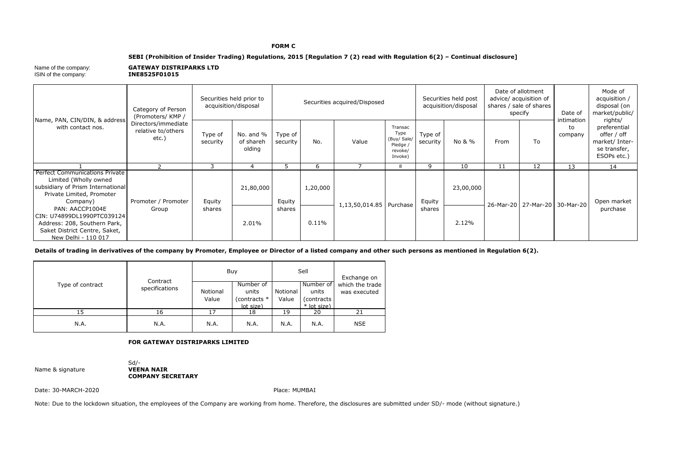#### **FORM C**

### **SEBI (Prohibition of Insider Trading) Regulations, 2015 [Regulation 7 (2) read with Regulation 6(2) – Continual disclosure]**

| INE8525F01015<br>ISIN of the company: |
|---------------------------------------|

|  |                                                                                                                                              | Category of Person<br>(Promoters/KMP/              | Securities held prior to<br>acquisition/disposal |                                  | Securities acquired/Disposed |          |                         |                                                                  | Securities held post<br>acquisition/disposal |           | Date of allotment<br>advice/ acquisition of<br>shares / sale of shares<br>specify |                                   | Date of                     | Mode of<br>acquisition /<br>disposal (on<br>market/public/                              |
|--|----------------------------------------------------------------------------------------------------------------------------------------------|----------------------------------------------------|--------------------------------------------------|----------------------------------|------------------------------|----------|-------------------------|------------------------------------------------------------------|----------------------------------------------|-----------|-----------------------------------------------------------------------------------|-----------------------------------|-----------------------------|-----------------------------------------------------------------------------------------|
|  | Name, PAN, CIN/DIN, & address<br>with contact nos.                                                                                           | Directors/immediate<br>relative to/others<br>etc.) | Type of<br>security                              | No. and %<br>of shareh<br>olding | Type of<br>security          | No.      | Value                   | Transac<br>Type<br>(Buy/ Sale/<br>Pledge /<br>revoke/<br>Invoke) | Type of<br>security                          | No & %    | From                                                                              | To                                | intimation<br>to<br>company | rights/<br>preferential<br>offer / off<br>market/ Inter-<br>se transfer,<br>ESOPs etc.) |
|  |                                                                                                                                              |                                                    | 3                                                | 4                                |                              |          |                         | $\circ$                                                          | q                                            | 10        | 11                                                                                | 12                                | 13                          | 14                                                                                      |
|  | <b>Perfect Communications Private</b><br>Limited (Wholly owned<br>subsidiary of Prism International<br>Private Limited, Promoter<br>Company) | Promoter / Promoter                                | Equity                                           | 21,80,000                        | Equity                       | 1,20,000 | 1,13,50,014.85 Purchase |                                                                  | Equity<br>shares                             | 23,00,000 |                                                                                   | 26-Mar-20   27-Mar-20   30-Mar-20 |                             | Open market                                                                             |
|  | PAN: AACCP1004E<br>CIN: U74899DL1990PTC039124<br>Address: 208, Southern Park,<br>Saket District Centre, Saket,                               | Group                                              | shares                                           | 2.01%                            | shares                       | $0.11\%$ |                         |                                                                  |                                              | 2.12%     |                                                                                   |                                   |                             | purchase                                                                                |

**Details of trading in derivatives of the company by Promoter, Employee or Director of a listed company and other such persons as mentioned in Regulation 6(2).**

|                  | Contract       |                   | Buy                                             |                   | Sell                                             | Exchange on                     |  |
|------------------|----------------|-------------------|-------------------------------------------------|-------------------|--------------------------------------------------|---------------------------------|--|
| Type of contract | specifications | Notional<br>Value | Number of<br>units<br>(contracts *<br>lot size) | Notional<br>Value | Number of<br>units<br>(contracts)<br>* lot size) | which the trade<br>was executed |  |
| 15               | 16             | L7                | 18                                              | 19                | 20                                               | 21                              |  |
| N.A.             | N.A.           | N.A.              | N.A.                                            | N.A.              | N.A.                                             | <b>NSE</b>                      |  |

### **FOR GATEWAY DISTRIPARKS LIMITED**

**Name & signature** 

Sd/-<br>**VEENA NAIR COMPANY SECRETARY**

Date: 30-MARCH-2020

Place: MUMBAI

Note: Due to the lockdown situation, the employees of the Company are working from home. Therefore, the disclosures are submitted under SD/- mode (without signature.)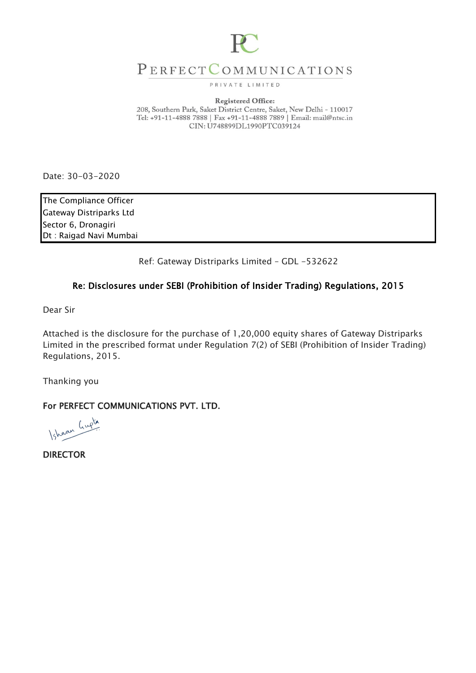

## PERFECTCOMMUNICATIONS

PRIVATE LIMITED

### **Registered Office:**

208, Southern Park, Saket District Centre, Saket, New Delhi - 110017 Tel: +91-11-4888 7888 | Fax +91-11-4888 7889 | Email: mail@ntsc.in CIN: U748899DL1990PTC039124

Date: 30-03-2020

The Compliance Officer Gateway Distriparks Ltd Sector 6, Dronagiri Dt : Raigad Navi Mumbai

Ref: Gateway Distriparks Limited – GDL -532622

### Re: Disclosures under SEBI (Prohibition of Insider Trading) Regulations, 2015

Dear Sir

Attached is the disclosure for the purchase of 1,20,000 equity shares of Gateway Distriparks Limited in the prescribed format under Regulation 7(2) of SEBI (Prohibition of Insider Trading) Regulations, 2015.

Thanking you

For PERFECT COMMUNICATIONS PVT. LTD.

Ishaan Gupta

DIRECTOR